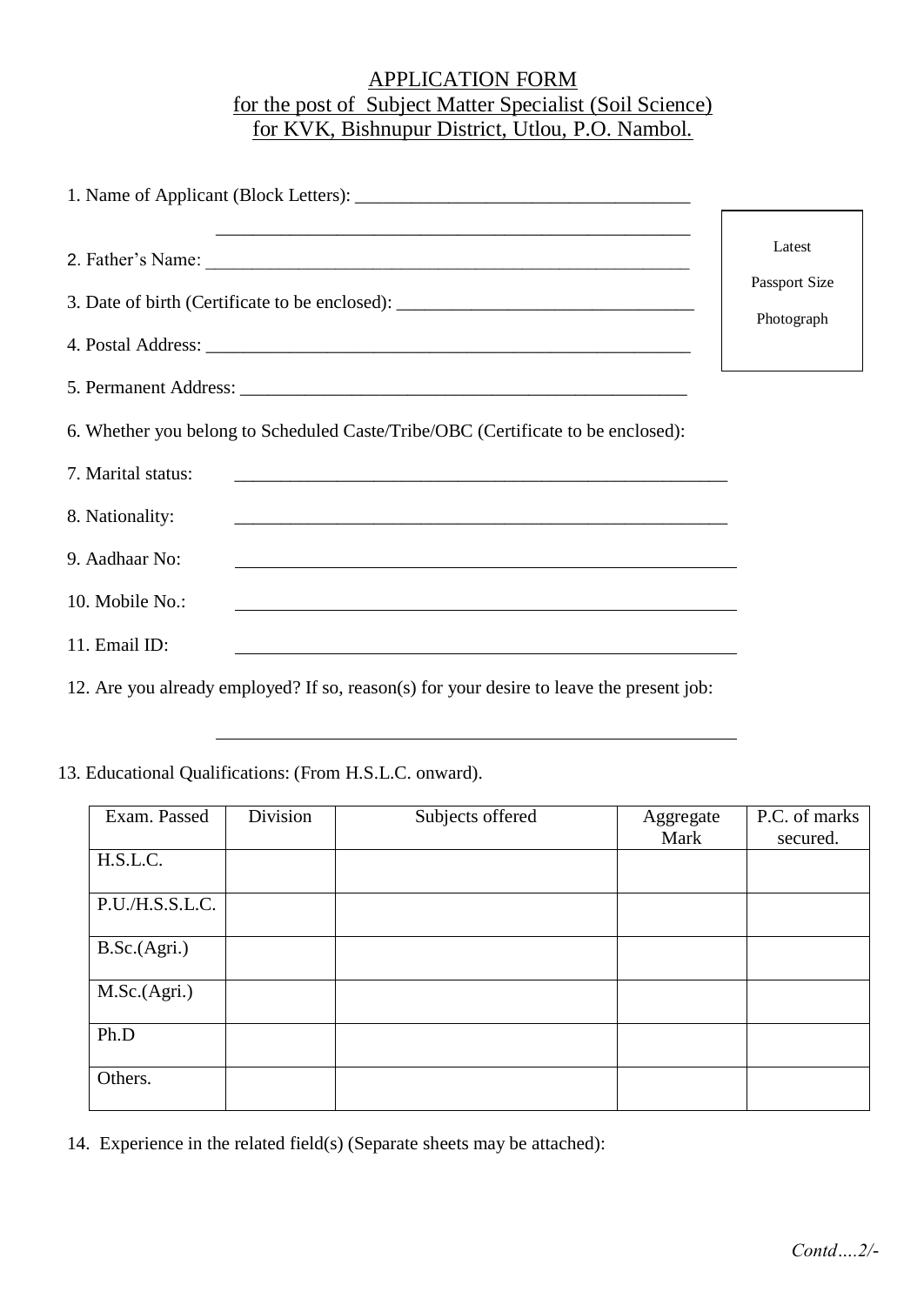## APPLICATION FORM for the post of Subject Matter Specialist (Soil Science) for KVK, Bishnupur District, Utlou, P.O. Nambol.

|                                                                                                                                                                                                                                                                                                                                                                                                                         | Latest        |
|-------------------------------------------------------------------------------------------------------------------------------------------------------------------------------------------------------------------------------------------------------------------------------------------------------------------------------------------------------------------------------------------------------------------------|---------------|
|                                                                                                                                                                                                                                                                                                                                                                                                                         | Passport Size |
| 3. Date of birth (Certificate to be enclosed): _________________________________                                                                                                                                                                                                                                                                                                                                        | Photograph    |
|                                                                                                                                                                                                                                                                                                                                                                                                                         |               |
|                                                                                                                                                                                                                                                                                                                                                                                                                         |               |
| 6. Whether you belong to Scheduled Caste/Tribe/OBC (Certificate to be enclosed):                                                                                                                                                                                                                                                                                                                                        |               |
| 7. Marital status:<br><u> 1989 - Johann Stoff, amerikansk politiker (d. 1989)</u>                                                                                                                                                                                                                                                                                                                                       |               |
| 8. Nationality:                                                                                                                                                                                                                                                                                                                                                                                                         |               |
| 9. Aadhaar No:                                                                                                                                                                                                                                                                                                                                                                                                          |               |
| 10. Mobile No.:<br><u> 1989 - Johann John Stone, Amerikaansk politiker (* 1908)</u>                                                                                                                                                                                                                                                                                                                                     |               |
| 11. Email ID:                                                                                                                                                                                                                                                                                                                                                                                                           |               |
| $\mathcal{A} \bullet \mathcal{A}$ and $\mathcal{A} \bullet \mathcal{A}$ and $\mathcal{A} \bullet \mathcal{A}$ and $\mathcal{A} \bullet \mathcal{A}$ and $\mathcal{A} \bullet \mathcal{A}$ and $\mathcal{A} \bullet \mathcal{A}$ and $\mathcal{A} \bullet \mathcal{A}$ and $\mathcal{A} \bullet \mathcal{A}$ and $\mathcal{A} \bullet \mathcal{A}$ and $\mathcal{A} \bullet \mathcal{A}$ and $\mathcal{A} \bullet \math$ |               |

12. Are you already employed? If so, reason(s) for your desire to leave the present job:

13. Educational Qualifications: (From H.S.L.C. onward).

| Exam. Passed    | Division | Subjects offered | Aggregate<br>Mark | P.C. of marks<br>secured. |
|-----------------|----------|------------------|-------------------|---------------------------|
| H.S.L.C.        |          |                  |                   |                           |
| P.U./H.S.S.L.C. |          |                  |                   |                           |
| B.Sc.(Agri.)    |          |                  |                   |                           |
|                 |          |                  |                   |                           |
| M.Sc.(Agri.)    |          |                  |                   |                           |
| Ph.D            |          |                  |                   |                           |
| Others.         |          |                  |                   |                           |

14. Experience in the related field(s) (Separate sheets may be attached):